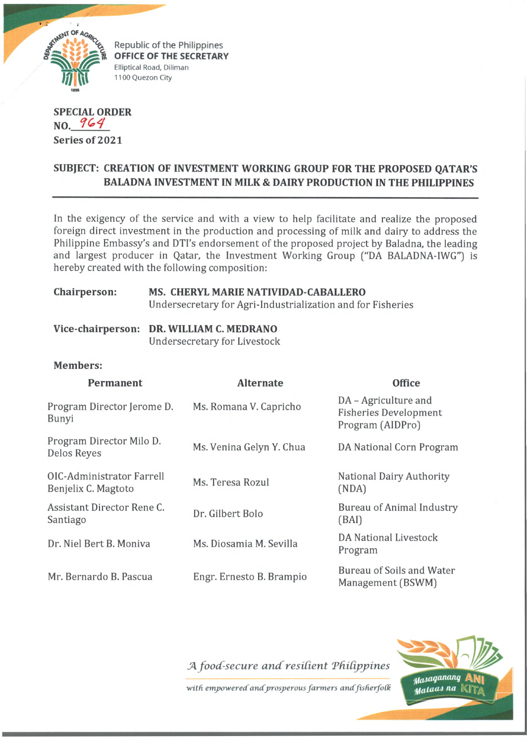

Elliptical Road, Diliman **OFFICE OF THE SECRETARY** 1100 Quezon City

**SPECIAL ORDER NO. Series of 2021**

# **SUBJECT: CREATION OF INVESTMENT WORKING GROUP FOR THE PROPOSED QATAR'S BALADNA INVESTMENT IN MILK & DAIRY PRODUCTION IN THE PHILIPPINES**

In the exigency of the service and with a view to help facilitate and realize the proposed foreign direct investment in the production and processing of milk and dairy to address the Philippine Embassy's and DTI's endorsement of the proposed project by Baladna, the leading and largest producer in Qatar, the Investment Working Group ("DA BALADNA-IWG") is hereby created with the following composition:

#### **Chairperson: MS. CHERYL MARIE NATIVIDAD-CABALLERO** Undersecretary for Agri-Industrialization and for Fisheries

|  | Vice-chairperson: DR. WILLIAM C. MEDRANO |
|--|------------------------------------------|
|  | <b>Undersecretary for Livestock</b>      |

#### **Members:**

| Permanent                                        | <b>Alternate</b>         | <b>Office</b>                                                            |
|--------------------------------------------------|--------------------------|--------------------------------------------------------------------------|
| Program Director Jerome D.<br>Bunyi              | Ms. Romana V. Capricho   | DA - Agriculture and<br><b>Fisheries Development</b><br>Program (AIDPro) |
| Program Director Milo D.<br>Delos Reyes          | Ms. Venina Gelyn Y. Chua | DA National Corn Program                                                 |
| OIC-Administrator Farrell<br>Benjelix C. Magtoto | Ms. Teresa Rozul         | <b>National Dairy Authority</b><br>(NDA)                                 |
| Assistant Director Rene C.<br>Santiago           | Dr. Gilbert Bolo         | <b>Bureau of Animal Industry</b><br>(BAI)                                |
| Dr. Niel Bert B. Moniva                          | Ms. Diosamia M. Sevilla  | <b>DA National Livestock</b><br>Program                                  |
| Mr. Bernardo B. Pascua                           | Engr. Ernesto B. Brampio | Bureau of Soils and Water<br>Management (BSWM)                           |

*JAfoocC-secure and'resident Tfddppines*

with empowered and prosperous farmers and fisherfolk